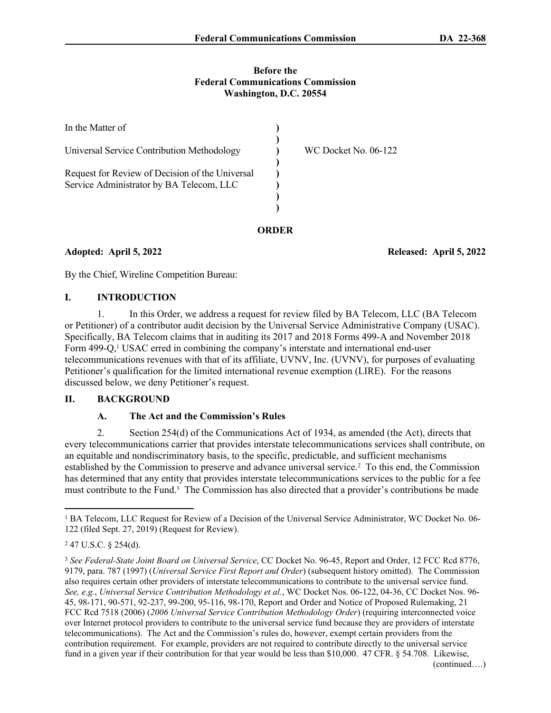### **Before the Federal Communications Commission Washington, D.C. 20554**

| In the Matter of                                                                            |                      |
|---------------------------------------------------------------------------------------------|----------------------|
| Universal Service Contribution Methodology                                                  | WC Docket No. 06-122 |
| Request for Review of Decision of the Universal<br>Service Administrator by BA Telecom, LLC |                      |
|                                                                                             |                      |

**ORDER**

**Adopted: April 5, 2022 Released: April 5, 2022**

By the Chief, Wireline Competition Bureau:

# **I. INTRODUCTION**

1. In this Order, we address a request for review filed by BA Telecom, LLC (BA Telecom or Petitioner) of a contributor audit decision by the Universal Service Administrative Company (USAC). Specifically, BA Telecom claims that in auditing its 2017 and 2018 Forms 499-A and November 2018 Form 499-Q,<sup>1</sup> USAC erred in combining the company's interstate and international end-user telecommunications revenues with that of its affiliate, UVNV, Inc. (UVNV), for purposes of evaluating Petitioner's qualification for the limited international revenue exemption (LIRE). For the reasons discussed below, we deny Petitioner's request.

# **II. BACKGROUND**

## **A. The Act and the Commission's Rules**

2. Section 254(d) of the Communications Act of 1934, as amended (the Act), directs that every telecommunications carrier that provides interstate telecommunications services shall contribute, on an equitable and nondiscriminatory basis, to the specific, predictable, and sufficient mechanisms established by the Commission to preserve and advance universal service.<sup>2</sup> To this end, the Commission has determined that any entity that provides interstate telecommunications services to the public for a fee must contribute to the Fund.<sup>3</sup> The Commission has also directed that a provider's contributions be made

<sup>&</sup>lt;sup>1</sup> BA Telecom, LLC Request for Review of a Decision of the Universal Service Administrator, WC Docket No. 06-122 (filed Sept. 27, 2019) (Request for Review).

<sup>2</sup> 47 U.S.C. § 254(d).

<sup>3</sup> *See Federal-State Joint Board on Universal Service*, CC Docket No. 96-45, Report and Order, 12 FCC Rcd 8776, 9179, para. 787 (1997) (*Universal Service First Report and Order*) (subsequent history omitted). The Commission also requires certain other providers of interstate telecommunications to contribute to the universal service fund. *See, e.g.*, *Universal Service Contribution Methodology et al.*, WC Docket Nos. 06-122, 04-36, CC Docket Nos. 96- 45, 98-171, 90-571, 92-237, 99-200, 95-116, 98-170, Report and Order and Notice of Proposed Rulemaking, 21 FCC Rcd 7518 (2006) (*2006 Universal Service Contribution Methodology Order*) (requiring interconnected voice over Internet protocol providers to contribute to the universal service fund because they are providers of interstate telecommunications). The Act and the Commission's rules do, however, exempt certain providers from the contribution requirement. For example, providers are not required to contribute directly to the universal service fund in a given year if their contribution for that year would be less than \$10,000. 47 CFR. § 54.708. Likewise, (continued….)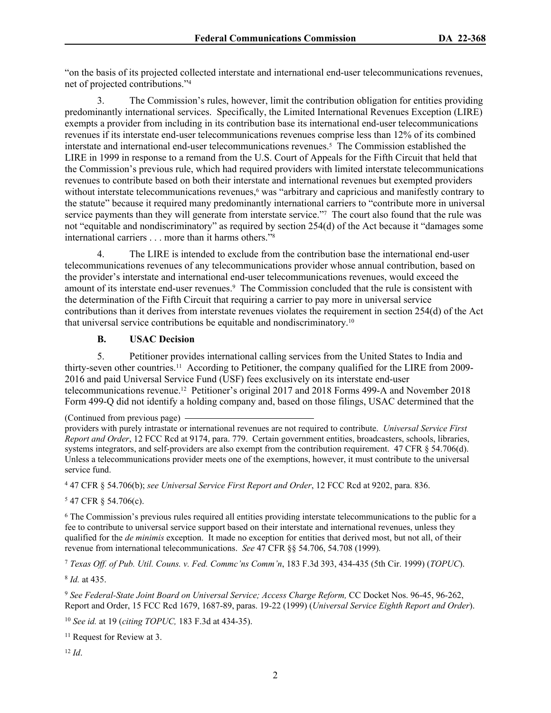"on the basis of its projected collected interstate and international end-user telecommunications revenues, net of projected contributions."<sup>4</sup>

3. The Commission's rules, however, limit the contribution obligation for entities providing predominantly international services. Specifically, the Limited International Revenues Exception (LIRE) exempts a provider from including in its contribution base its international end-user telecommunications revenues if its interstate end-user telecommunications revenues comprise less than 12% of its combined interstate and international end-user telecommunications revenues.<sup>5</sup> The Commission established the LIRE in 1999 in response to a remand from the U.S. Court of Appeals for the Fifth Circuit that held that the Commission's previous rule, which had required providers with limited interstate telecommunications revenues to contribute based on both their interstate and international revenues but exempted providers without interstate telecommunications revenues,<sup>6</sup> was "arbitrary and capricious and manifestly contrary to the statute" because it required many predominantly international carriers to "contribute more in universal service payments than they will generate from interstate service."7 The court also found that the rule was not "equitable and nondiscriminatory" as required by section 254(d) of the Act because it "damages some international carriers . . . more than it harms others."<sup>8</sup>

4. The LIRE is intended to exclude from the contribution base the international end-user telecommunications revenues of any telecommunications provider whose annual contribution, based on the provider's interstate and international end-user telecommunications revenues, would exceed the amount of its interstate end-user revenues.<sup>9</sup> The Commission concluded that the rule is consistent with the determination of the Fifth Circuit that requiring a carrier to pay more in universal service contributions than it derives from interstate revenues violates the requirement in section 254(d) of the Act that universal service contributions be equitable and nondiscriminatory.<sup>10</sup>

# **B. USAC Decision**

5. Petitioner provides international calling services from the United States to India and thirty-seven other countries.11 According to Petitioner, the company qualified for the LIRE from 2009- 2016 and paid Universal Service Fund (USF) fees exclusively on its interstate end-user telecommunications revenue.12 Petitioner's original 2017 and 2018 Forms 499-A and November 2018 Form 499-Q did not identify a holding company and, based on those filings, USAC determined that the

4 47 CFR § 54.706(b); *see Universal Service First Report and Order*, 12 FCC Rcd at 9202, para. 836.

5 47 CFR § 54.706(c).

6 The Commission's previous rules required all entities providing interstate telecommunications to the public for a fee to contribute to universal service support based on their interstate and international revenues, unless they qualified for the *de minimis* exception. It made no exception for entities that derived most, but not all, of their revenue from international telecommunications. *See* 47 CFR §§ 54.706, 54.708 (1999)*.*

<sup>7</sup> *Texas Off. of Pub. Util. Couns. v. Fed. Commc'ns Comm'n*, 183 F.3d 393, 434-435 (5th Cir. 1999) (*TOPUC*).

8 *Id.* at 435.

<sup>9</sup> *See Federal-State Joint Board on Universal Service; Access Charge Reform,* CC Docket Nos. 96-45, 96-262, Report and Order, 15 FCC Rcd 1679, 1687-89, paras. 19-22 (1999) (*Universal Service Eighth Report and Order*).

<sup>10</sup> *See id.* at 19 (*citing TOPUC,* 183 F.3d at 434-35).

<sup>11</sup> Request for Review at 3.

12 *Id*.

<sup>(</sup>Continued from previous page)

providers with purely intrastate or international revenues are not required to contribute. *Universal Service First Report and Order*, 12 FCC Rcd at 9174, para. 779. Certain government entities, broadcasters, schools, libraries, systems integrators, and self-providers are also exempt from the contribution requirement. 47 CFR § 54.706(d). Unless a telecommunications provider meets one of the exemptions, however, it must contribute to the universal service fund.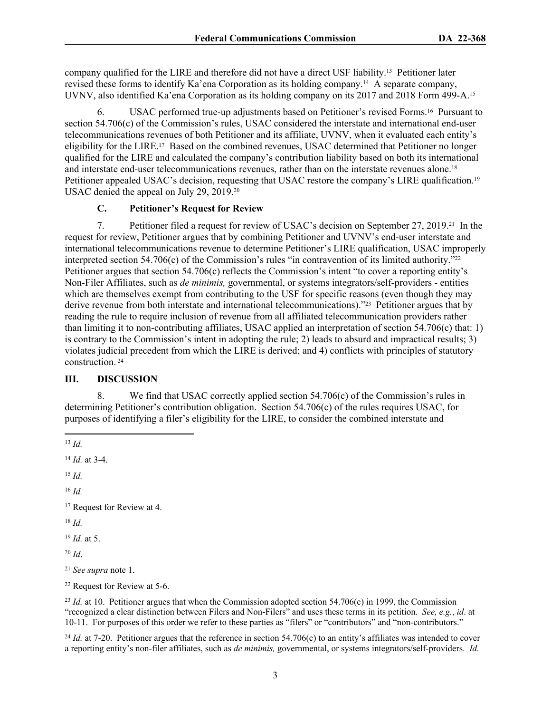company qualified for the LIRE and therefore did not have a direct USF liability.13 Petitioner later revised these forms to identify Ka'ena Corporation as its holding company.14 A separate company, UVNV, also identified Ka'ena Corporation as its holding company on its 2017 and 2018 Form 499-A.<sup>15</sup>

6. USAC performed true-up adjustments based on Petitioner's revised Forms.16 Pursuant to section 54.706(c) of the Commission's rules, USAC considered the interstate and international end-user telecommunications revenues of both Petitioner and its affiliate, UVNV, when it evaluated each entity's eligibility for the LIRE.<sup>17</sup> Based on the combined revenues, USAC determined that Petitioner no longer qualified for the LIRE and calculated the company's contribution liability based on both its international and interstate end-user telecommunications revenues, rather than on the interstate revenues alone.<sup>18</sup> Petitioner appealed USAC's decision, requesting that USAC restore the company's LIRE qualification.<sup>19</sup> USAC denied the appeal on July 29, 2019.<sup>20</sup>

# **C. Petitioner's Request for Review**

7. Petitioner filed a request for review of USAC's decision on September 27, 2019.21 In the request for review, Petitioner argues that by combining Petitioner and UVNV's end-user interstate and international telecommunications revenue to determine Petitioner's LIRE qualification, USAC improperly interpreted section 54.706(c) of the Commission's rules "in contravention of its limited authority."<sup>22</sup> Petitioner argues that section 54.706(c) reflects the Commission's intent "to cover a reporting entity's Non-Filer Affiliates, such as *de minimis,* governmental, or systems integrators/self-providers - entities which are themselves exempt from contributing to the USF for specific reasons (even though they may derive revenue from both interstate and international telecommunications)."23 Petitioner argues that by reading the rule to require inclusion of revenue from all affiliated telecommunication providers rather than limiting it to non-contributing affiliates, USAC applied an interpretation of section 54.706(c) that: 1) is contrary to the Commission's intent in adopting the rule; 2) leads to absurd and impractical results; 3) violates judicial precedent from which the LIRE is derived; and 4) conflicts with principles of statutory construction.<sup>24</sup>

#### **III. DISCUSSION**

8. We find that USAC correctly applied section 54.706(c) of the Commission's rules in determining Petitioner's contribution obligation. Section 54.706(c) of the rules requires USAC, for purposes of identifying a filer's eligibility for the LIRE, to consider the combined interstate and

<sup>14</sup> *Id.* at 3-4.

<sup>15</sup> *Id.*

<sup>16</sup> *Id.*

<sup>18</sup> *Id.*

<sup>19</sup> *Id.* at 5.

<sup>20</sup> *Id*.

<sup>21</sup> *See supra* note 1.

<sup>22</sup> Request for Review at 5-6.

<sup>23</sup> *Id.* at 10. Petitioner argues that when the Commission adopted section 54.706(c) in 1999, the Commission "recognized a clear distinction between Filers and Non-Filers" and uses these terms in its petition. *See, e.g.*, *id*. at 10-11. For purposes of this order we refer to these parties as "filers" or "contributors" and "non-contributors."

<sup>24</sup> *Id.* at 7-20. Petitioner argues that the reference in section 54.706(c) to an entity's affiliates was intended to cover a reporting entity's non-filer affiliates, such as *de minimis,* governmental, or systems integrators/self-providers. *Id.*

<sup>13</sup> *Id.*

<sup>&</sup>lt;sup>17</sup> Request for Review at 4.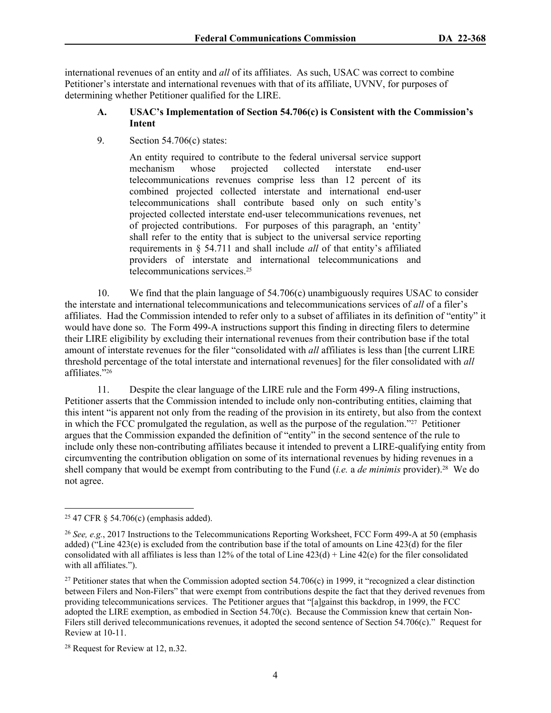international revenues of an entity and *all* of its affiliates. As such, USAC was correct to combine Petitioner's interstate and international revenues with that of its affiliate, UVNV, for purposes of determining whether Petitioner qualified for the LIRE.

## **A. USAC's Implementation of Section 54.706(c) is Consistent with the Commission's Intent**

9. Section 54.706(c) states:

An entity required to contribute to the federal universal service support mechanism whose projected collected interstate end-user telecommunications revenues comprise less than 12 percent of its combined projected collected interstate and international end-user telecommunications shall contribute based only on such entity's projected collected interstate end-user telecommunications revenues, net of projected contributions. For purposes of this paragraph, an 'entity' shall refer to the entity that is subject to the universal service reporting requirements in § 54.711 and shall include *all* of that entity's affiliated providers of interstate and international telecommunications and telecommunications services.<sup>25</sup>

10. We find that the plain language of 54.706(c) unambiguously requires USAC to consider the interstate and international telecommunications and telecommunications services of *all* of a filer's affiliates. Had the Commission intended to refer only to a subset of affiliates in its definition of "entity" it would have done so. The Form 499-A instructions support this finding in directing filers to determine their LIRE eligibility by excluding their international revenues from their contribution base if the total amount of interstate revenues for the filer "consolidated with *all* affiliates is less than [the current LIRE threshold percentage of the total interstate and international revenues] for the filer consolidated with *all* affiliates."<sup>26</sup>

11. Despite the clear language of the LIRE rule and the Form 499-A filing instructions, Petitioner asserts that the Commission intended to include only non-contributing entities, claiming that this intent "is apparent not only from the reading of the provision in its entirety, but also from the context in which the FCC promulgated the regulation, as well as the purpose of the regulation."27 Petitioner argues that the Commission expanded the definition of "entity" in the second sentence of the rule to include only these non-contributing affiliates because it intended to prevent a LIRE-qualifying entity from circumventing the contribution obligation on some of its international revenues by hiding revenues in a shell company that would be exempt from contributing to the Fund (*i.e.* a *de minimis* provider).28 We do not agree.

<sup>25</sup> 47 CFR § 54.706(c) (emphasis added).

<sup>26</sup> *See, e.g.*, 2017 Instructions to the Telecommunications Reporting Worksheet, FCC Form 499-A at 50 (emphasis added) ("Line  $423(e)$  is excluded from the contribution base if the total of amounts on Line  $423(d)$  for the filer consolidated with all affiliates is less than 12% of the total of Line  $423(d) +$  Line  $42(e)$  for the filer consolidated with all affiliates.").

<sup>&</sup>lt;sup>27</sup> Petitioner states that when the Commission adopted section  $54.706(c)$  in 1999, it "recognized a clear distinction between Filers and Non-Filers" that were exempt from contributions despite the fact that they derived revenues from providing telecommunications services. The Petitioner argues that "[a]gainst this backdrop, in 1999, the FCC adopted the LIRE exemption, as embodied in Section 54.70(c). Because the Commission knew that certain Non-Filers still derived telecommunications revenues, it adopted the second sentence of Section 54.706(c)." Request for Review at 10-11.

<sup>28</sup> Request for Review at 12, n.32.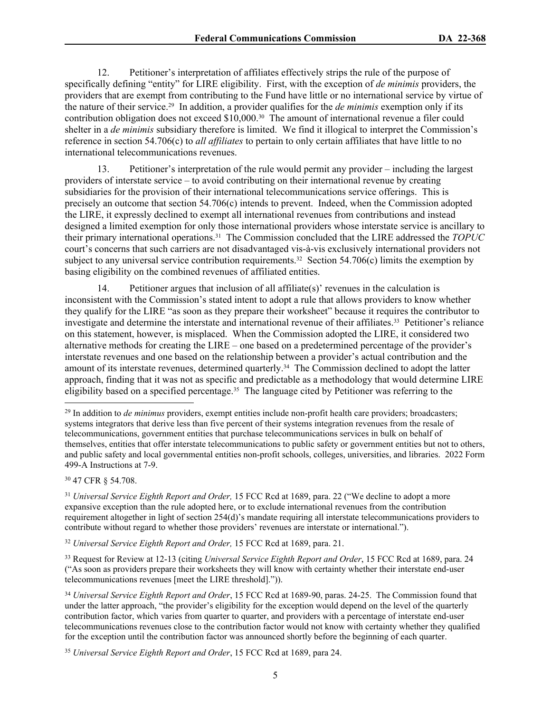12. Petitioner's interpretation of affiliates effectively strips the rule of the purpose of specifically defining "entity" for LIRE eligibility. First, with the exception of *de minimis* providers, the providers that are exempt from contributing to the Fund have little or no international service by virtue of the nature of their service.29 In addition, a provider qualifies for the *de minimis* exemption only if its contribution obligation does not exceed \$10,000.30 The amount of international revenue a filer could shelter in a *de minimis* subsidiary therefore is limited. We find it illogical to interpret the Commission's reference in section 54.706(c) to *all affiliates* to pertain to only certain affiliates that have little to no international telecommunications revenues.

13. Petitioner's interpretation of the rule would permit any provider – including the largest providers of interstate service – to avoid contributing on their international revenue by creating subsidiaries for the provision of their international telecommunications service offerings. This is precisely an outcome that section 54.706(c) intends to prevent. Indeed, when the Commission adopted the LIRE, it expressly declined to exempt all international revenues from contributions and instead designed a limited exemption for only those international providers whose interstate service is ancillary to their primary international operations.31 The Commission concluded that the LIRE addressed the *TOPUC* court's concerns that such carriers are not disadvantaged vis-à-vis exclusively international providers not subject to any universal service contribution requirements.<sup>32</sup> Section 54.706(c) limits the exemption by basing eligibility on the combined revenues of affiliated entities.

14. Petitioner argues that inclusion of all affiliate(s)' revenues in the calculation is inconsistent with the Commission's stated intent to adopt a rule that allows providers to know whether they qualify for the LIRE "as soon as they prepare their worksheet" because it requires the contributor to investigate and determine the interstate and international revenue of their affiliates.<sup>33</sup> Petitioner's reliance on this statement, however, is misplaced. When the Commission adopted the LIRE, it considered two alternative methods for creating the LIRE – one based on a predetermined percentage of the provider's interstate revenues and one based on the relationship between a provider's actual contribution and the amount of its interstate revenues, determined quarterly.34 The Commission declined to adopt the latter approach, finding that it was not as specific and predictable as a methodology that would determine LIRE eligibility based on a specified percentage.<sup>35</sup> The language cited by Petitioner was referring to the

<sup>30</sup> 47 CFR § 54.708.

<sup>32</sup> *Universal Service Eighth Report and Order,* 15 FCC Rcd at 1689, para. 21.

<sup>29</sup> In addition to *de minimus* providers, exempt entities include non-profit health care providers; broadcasters; systems integrators that derive less than five percent of their systems integration revenues from the resale of telecommunications, government entities that purchase telecommunications services in bulk on behalf of themselves, entities that offer interstate telecommunications to public safety or government entities but not to others, and public safety and local governmental entities non-profit schools, colleges, universities, and libraries. 2022 Form 499-A Instructions at 7-9.

<sup>31</sup> *Universal Service Eighth Report and Order,* 15 FCC Rcd at 1689, para. 22 ("We decline to adopt a more expansive exception than the rule adopted here, or to exclude international revenues from the contribution requirement altogether in light of section 254(d)'s mandate requiring all interstate telecommunications providers to contribute without regard to whether those providers' revenues are interstate or international.").

<sup>33</sup> Request for Review at 12-13 (citing *Universal Service Eighth Report and Order*, 15 FCC Rcd at 1689, para. 24 ("As soon as providers prepare their worksheets they will know with certainty whether their interstate end-user telecommunications revenues [meet the LIRE threshold].")).

<sup>34</sup> *Universal Service Eighth Report and Order*, 15 FCC Rcd at 1689-90, paras. 24-25. The Commission found that under the latter approach, "the provider's eligibility for the exception would depend on the level of the quarterly contribution factor, which varies from quarter to quarter, and providers with a percentage of interstate end-user telecommunications revenues close to the contribution factor would not know with certainty whether they qualified for the exception until the contribution factor was announced shortly before the beginning of each quarter.

<sup>35</sup> *Universal Service Eighth Report and Order*, 15 FCC Rcd at 1689, para 24.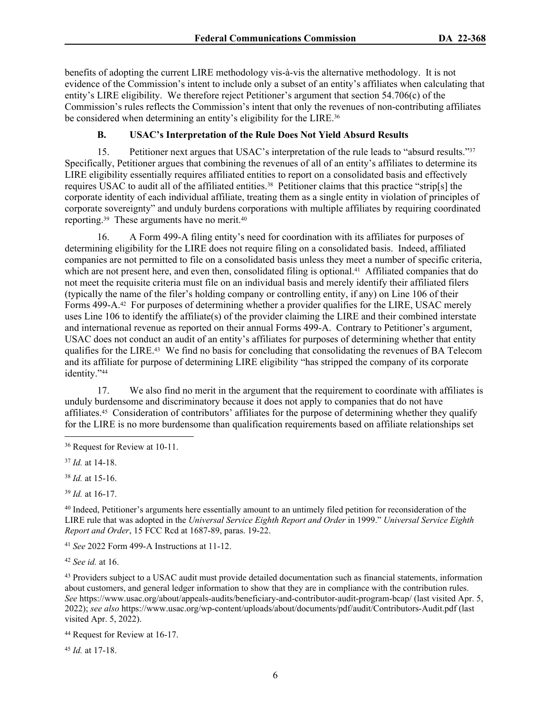benefits of adopting the current LIRE methodology vis-à-vis the alternative methodology. It is not evidence of the Commission's intent to include only a subset of an entity's affiliates when calculating that entity's LIRE eligibility. We therefore reject Petitioner's argument that section 54.706(c) of the Commission's rules reflects the Commission's intent that only the revenues of non-contributing affiliates be considered when determining an entity's eligibility for the LIRE.<sup>36</sup>

## **B. USAC's Interpretation of the Rule Does Not Yield Absurd Results**

15. Petitioner next argues that USAC's interpretation of the rule leads to "absurd results."<sup>37</sup> Specifically, Petitioner argues that combining the revenues of all of an entity's affiliates to determine its LIRE eligibility essentially requires affiliated entities to report on a consolidated basis and effectively requires USAC to audit all of the affiliated entities.<sup>38</sup> Petitioner claims that this practice "strip[s] the corporate identity of each individual affiliate, treating them as a single entity in violation of principles of corporate sovereignty" and unduly burdens corporations with multiple affiliates by requiring coordinated reporting.39 These arguments have no merit.<sup>40</sup>

16. A Form 499-A filing entity's need for coordination with its affiliates for purposes of determining eligibility for the LIRE does not require filing on a consolidated basis. Indeed, affiliated companies are not permitted to file on a consolidated basis unless they meet a number of specific criteria, which are not present here, and even then, consolidated filing is optional.<sup>41</sup> Affiliated companies that do not meet the requisite criteria must file on an individual basis and merely identify their affiliated filers (typically the name of the filer's holding company or controlling entity, if any) on Line 106 of their Forms 499-A.<sup>42</sup> For purposes of determining whether a provider qualifies for the LIRE, USAC merely uses Line 106 to identify the affiliate(s) of the provider claiming the LIRE and their combined interstate and international revenue as reported on their annual Forms 499-A. Contrary to Petitioner's argument, USAC does not conduct an audit of an entity's affiliates for purposes of determining whether that entity qualifies for the LIRE.43 We find no basis for concluding that consolidating the revenues of BA Telecom and its affiliate for purpose of determining LIRE eligibility "has stripped the company of its corporate identity."<sup>44</sup>

17. We also find no merit in the argument that the requirement to coordinate with affiliates is unduly burdensome and discriminatory because it does not apply to companies that do not have affiliates.45 Consideration of contributors' affiliates for the purpose of determining whether they qualify for the LIRE is no more burdensome than qualification requirements based on affiliate relationships set

<sup>37</sup> *Id.* at 14-18.

<sup>38</sup> *Id.* at 15-16.

<sup>39</sup> *Id.* at 16-17.

<sup>40</sup> Indeed, Petitioner's arguments here essentially amount to an untimely filed petition for reconsideration of the LIRE rule that was adopted in the *Universal Service Eighth Report and Order* in 1999." *Universal Service Eighth Report and Order*, 15 FCC Rcd at 1687-89, paras. 19-22.

<sup>41</sup> *See* 2022 Form 499-A Instructions at 11-12.

<sup>42</sup> *See id.* at 16.

<sup>43</sup> Providers subject to a USAC audit must provide detailed documentation such as financial statements, information about customers, and general ledger information to show that they are in compliance with the contribution rules. *See* https://www.usac.org/about/appeals-audits/beneficiary-and-contributor-audit-program-bcap/ (last visited Apr. 5, 2022); *see also* https://www.usac.org/wp-content/uploads/about/documents/pdf/audit/Contributors-Audit.pdf (last visited Apr. 5, 2022).

<sup>44</sup> Request for Review at 16-17.

<sup>45</sup> *Id.* at 17-18.

<sup>36</sup> Request for Review at 10-11.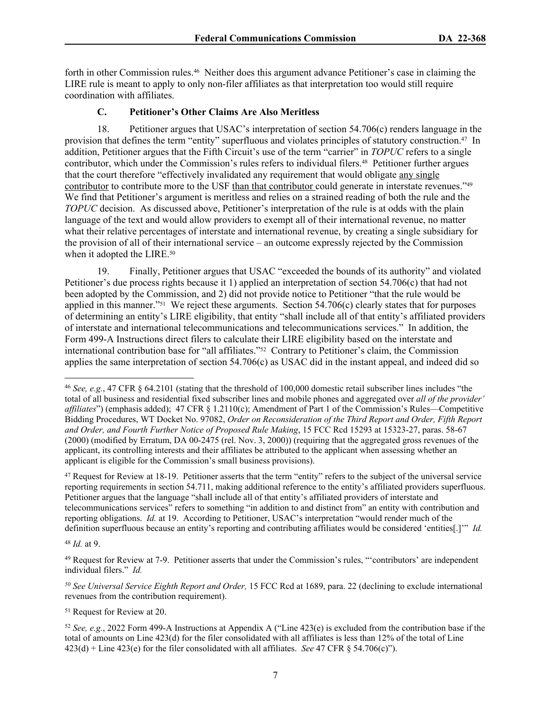forth in other Commission rules.46 Neither does this argument advance Petitioner's case in claiming the LIRE rule is meant to apply to only non-filer affiliates as that interpretation too would still require coordination with affiliates.

## **C. Petitioner's Other Claims Are Also Meritless**

18. Petitioner argues that USAC's interpretation of section 54.706(c) renders language in the provision that defines the term "entity" superfluous and violates principles of statutory construction.47 In addition, Petitioner argues that the Fifth Circuit's use of the term "carrier" in *TOPUC* refers to a single contributor, which under the Commission's rules refers to individual filers.<sup>48</sup> Petitioner further argues that the court therefore "effectively invalidated any requirement that would obligate any single contributor to contribute more to the USF than that contributor could generate in interstate revenues."49 We find that Petitioner's argument is meritless and relies on a strained reading of both the rule and the *TOPUC* decision. As discussed above, Petitioner's interpretation of the rule is at odds with the plain language of the text and would allow providers to exempt all of their international revenue, no matter what their relative percentages of interstate and international revenue, by creating a single subsidiary for the provision of all of their international service – an outcome expressly rejected by the Commission when it adopted the LIRE.<sup>50</sup>

19. Finally, Petitioner argues that USAC "exceeded the bounds of its authority" and violated Petitioner's due process rights because it 1) applied an interpretation of section 54.706(c) that had not been adopted by the Commission, and 2) did not provide notice to Petitioner "that the rule would be applied in this manner."51 We reject these arguments. Section 54.706(c) clearly states that for purposes of determining an entity's LIRE eligibility, that entity "shall include all of that entity's affiliated providers of interstate and international telecommunications and telecommunications services." In addition, the Form 499-A Instructions direct filers to calculate their LIRE eligibility based on the interstate and international contribution base for "all affiliates."52 Contrary to Petitioner's claim, the Commission applies the same interpretation of section 54.706(c) as USAC did in the instant appeal, and indeed did so

<sup>47</sup> Request for Review at 18-19. Petitioner asserts that the term "entity" refers to the subject of the universal service reporting requirements in section 54.711, making additional reference to the entity's affiliated providers superfluous. Petitioner argues that the language "shall include all of that entity's affiliated providers of interstate and telecommunications services" refers to something "in addition to and distinct from" an entity with contribution and reporting obligations. *Id.* at 19. According to Petitioner, USAC's interpretation "would render much of the definition superfluous because an entity's reporting and contributing affiliates would be considered 'entities[.]'" *Id.*

<sup>48</sup> *Id.* at 9.

<sup>49</sup> Request for Review at 7-9. Petitioner asserts that under the Commission's rules, "'contributors' are independent individual filers." *Id.*

*<sup>50</sup> See Universal Service Eighth Report and Order,* 15 FCC Rcd at 1689, para. 22 (declining to exclude international revenues from the contribution requirement).

<sup>51</sup> Request for Review at 20.

<sup>52</sup> *See, e.g.*, 2022 Form 499-A Instructions at Appendix A ("Line 423(e) is excluded from the contribution base if the total of amounts on Line 423(d) for the filer consolidated with all affiliates is less than 12% of the total of Line 423(d) + Line 423(e) for the filer consolidated with all affiliates. *See* 47 CFR § 54.706(c)").

<sup>46</sup> *See, e.g.*, 47 CFR § 64.2101 (stating that the threshold of 100,000 domestic retail subscriber lines includes "the total of all business and residential fixed subscriber lines and mobile phones and aggregated over *all of the provider' affiliates*") (emphasis added); 47 CFR § 1.2110(c); Amendment of Part 1 of the Commission's Rules—Competitive Bidding Procedures, WT Docket No. 97082, *Order on Reconsideration of the Third Report and Order, Fifth Report and Order, and Fourth Further Notice of Proposed Rule Making*, 15 FCC Rcd 15293 at 15323-27, paras. 58-67 (2000) (modified by Erratum, DA 00-2475 (rel. Nov. 3, 2000)) (requiring that the aggregated gross revenues of the applicant, its controlling interests and their affiliates be attributed to the applicant when assessing whether an applicant is eligible for the Commission's small business provisions).